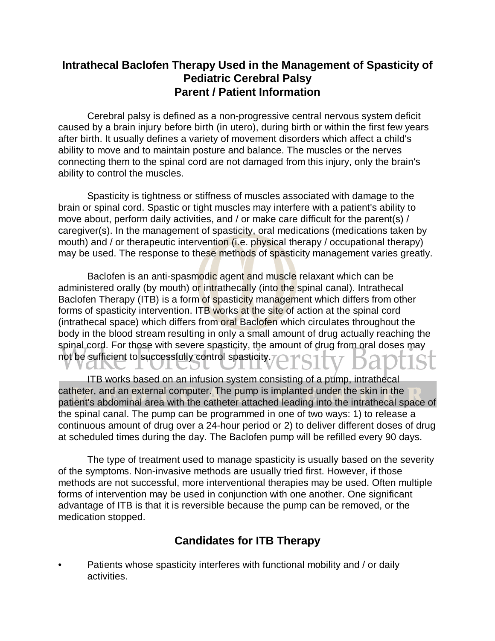## **Intrathecal Baclofen Therapy Used in the Management of Spasticity of Pediatric Cerebral Palsy Parent / Patient Information**

Cerebral palsy is defined as a non-progressive central nervous system deficit caused by a brain injury before birth (in utero), during birth or within the first few years after birth. It usually defines a variety of movement disorders which affect a child's ability to move and to maintain posture and balance. The muscles or the nerves connecting them to the spinal cord are not damaged from this injury, only the brain's ability to control the muscles.

Spasticity is tightness or stiffness of muscles associated with damage to the brain or spinal cord. Spastic or tight muscles may interfere with a patient's ability to move about, perform daily activities, and / or make care difficult for the parent(s) / caregiver(s). In the management of spasticity, oral medications (medications taken by mouth) and / or therapeutic intervention (i.e. physical therapy / occupational therapy) may be used. The response to these methods of spasticity management varies greatly.

Baclofen is an anti-spasmodic agent and muscle relaxant which can be administered orally (by mouth) or intrathecally (into the spinal canal). Intrathecal Baclofen Therapy (ITB) is a form of spasticity management which differs from other forms of spasticity intervention. ITB works at the site of action at the spinal cord (intrathecal space) which differs from oral Baclofen which circulates throughout the body in the blood stream resulting in only a small amount of drug actually reaching the spinal cord. For those with severe spasticity, the amount of drug from oral doses may not be sufficient to successfully control spasticity.

ITB works based on an infusion system consisting of a pump, intrathecal catheter, and an external computer. The pump is implanted under the skin in the patient's abdominal area with the catheter attached leading into the intrathecal space of the spinal canal. The pump can be programmed in one of two ways: 1) to release a continuous amount of drug over a 24-hour period or 2) to deliver different doses of drug at scheduled times during the day. The Baclofen pump will be refilled every 90 days.

The type of treatment used to manage spasticity is usually based on the severity of the symptoms. Non-invasive methods are usually tried first. However, if those methods are not successful, more interventional therapies may be used. Often multiple forms of intervention may be used in conjunction with one another. One significant advantage of ITB is that it is reversible because the pump can be removed, or the medication stopped.

## **Candidates for ITB Therapy**

Patients whose spasticity interferes with functional mobility and / or daily activities.